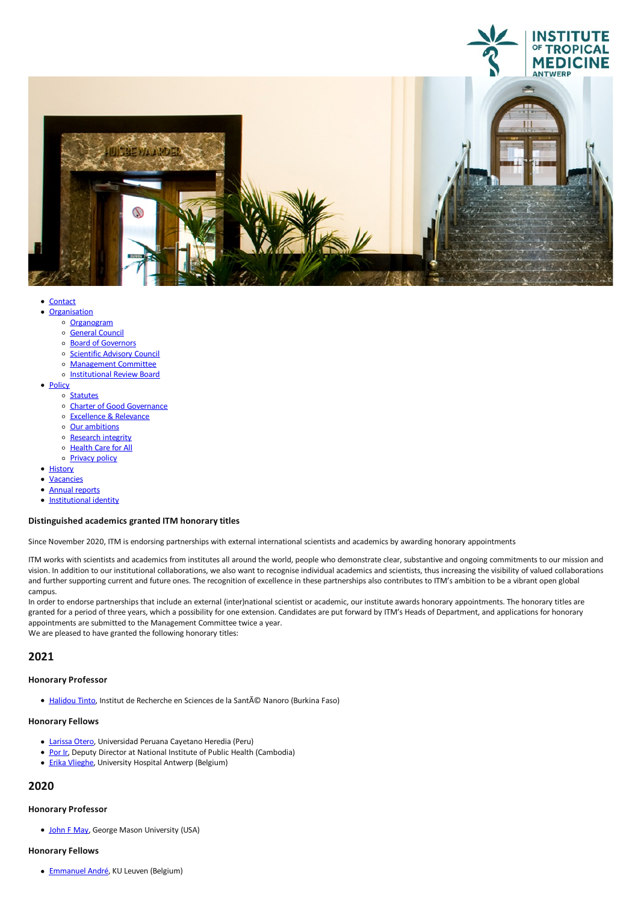

- 
- [Organisation](javascript:void(0))<br>
⊙ [Organogram](https://www.itg.be/Files/docs/organogram-EN.pdf)
	-
	- o [General](file:///E/general-council) Council
	- o Board of [Governors](file:///E/about-us/board-of-governors)
	- o [Scientific](file:///E/scientific-advisory-council) Advisory Council
	- [Management](file:///E/management-board) Committee
	- o [Institutional](file:///E/institutional-review-board) Review Board
- [Policy](javascript:void(0))
	- o [Statutes](file:///E/statutes)
	- o Charter of Good [Governance](file:///E/charter-of-good-governance)
	- [Excellence](file:///E/excellence--relevance) & Relevance<br>○ Our ambitions
	-
	- o [Research](file:///E/research-integrity) integrity
	- o [Health](file:///E/health-care-for-all) Care for All
	- o **[Privacy](file:///E/privacy) policy**
- [History](file:///E/history)
- [Vacancies](file:///E/vacancies)
- Annual [reports](file:///E/about-us/annual-reports)
- [Institutional](file:///E/institutional-identity) identity

### **Distinguished academics granted ITM honorarytitles**

Since November 2020, ITM is endorsing partnerships with external international scientistsand academics by awarding honorary appointments

ITM works with scientists and academics from institutes all around the world, people who demonstrate clear, substantive and ongoing commitments to our mission and vision. In addition to our institutional collaborations, we also want to recognise individual academics and scientists, thus increasing the visibility of valued collaborations and further supporting current and future ones. The recognition of excellence in these partnerships also contributes to ITM's ambition to be a vibrant open global campus.

In order to endorse partnerships that include an external (inter)national scientist or academic, our institute awards honorary appointments. The honorary titles are granted for a period of three years, which a possibility for one extension. Candidates are put forward by ITM's Heads of Department, and applications for honorary appointments are submitted to the Management Committee twice a year. We are pleased to have granted the following honorary titles:

# **2021**

### **Honorary Professor**

● [Halidou](https://crun.bf/leadership/#) Tinto, Institut de Recherche en Sciences de la Santé Nanoro (Burkina Faso)

### **Honorary Fellows**

- [Larissa](https://dina.concytec.gob.pe/appDirectorioCTI/VerDatosInvestigador.do?id_investigador=4105) Otero, Universidad Peruana Cayetano Heredia(Peru)
- [Por](https://niph.org.kh/niph/detail-news-events/74/index.html) Ir, Deputy Director at National Institute of Public Health (Cambodia)
- **Erika [Vlieghe](https://www.uza.be/persoon/prof-dr-erika-vlieghe)**, University Hospital Antwerp (Belgium)

# **2020**

## **Honorary Professor**

• [John](https://schar.gmu.edu/profiles/jmay21) F May, George Mason University (USA)

#### **Honorary Fellows**

**[Emmanuel](https://www.kuleuven.be/wieiswie/en/person/00121011) André**, KU Leuven (Belgium)